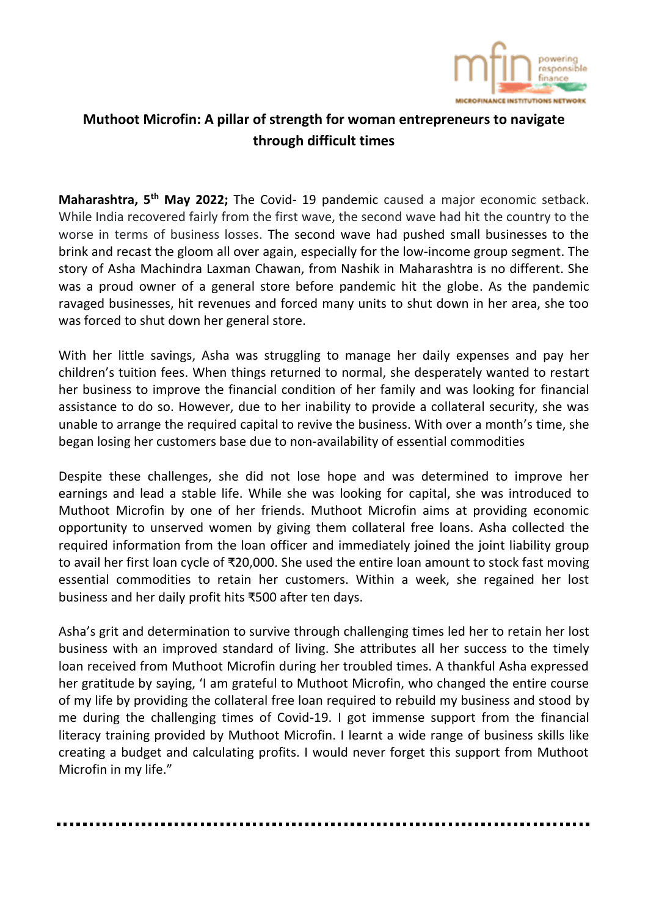

## **Muthoot Microfin: A pillar of strength for woman entrepreneurs to navigate through difficult times**

**Maharashtra, 5 th May 2022;** The Covid- 19 pandemic caused a major economic setback. While India recovered fairly from the first wave, the second wave had hit the country to the worse in terms of business losses. The second wave had pushed small businesses to the brink and recast the gloom all over again, especially for the low-income group segment. The story of Asha Machindra Laxman Chawan, from Nashik in Maharashtra is no different. She was a proud owner of a general store before pandemic hit the globe. As the pandemic ravaged businesses, hit revenues and forced many units to shut down in her area, she too was forced to shut down her general store.

With her little savings, Asha was struggling to manage her daily expenses and pay her children's tuition fees. When things returned to normal, she desperately wanted to restart her business to improve the financial condition of her family and was looking for financial assistance to do so. However, due to her inability to provide a collateral security, she was unable to arrange the required capital to revive the business. With over a month's time, she began losing her customers base due to non-availability of essential commodities

Despite these challenges, she did not lose hope and was determined to improve her earnings and lead a stable life. While she was looking for capital, she was introduced to Muthoot Microfin by one of her friends. Muthoot Microfin aims at providing economic opportunity to unserved women by giving them collateral free loans. Asha collected the required information from the loan officer and immediately joined the joint liability group to avail her first loan cycle of ₹20,000. She used the entire loan amount to stock fast moving essential commodities to retain her customers. Within a week, she regained her lost business and her daily profit hits ₹500 after ten days.

Asha's grit and determination to survive through challenging times led her to retain her lost business with an improved standard of living. She attributes all her success to the timely loan received from Muthoot Microfin during her troubled times. A thankful Asha expressed her gratitude by saying, 'I am grateful to Muthoot Microfin, who changed the entire course of my life by providing the collateral free loan required to rebuild my business and stood by me during the challenging times of Covid-19. I got immense support from the financial literacy training provided by Muthoot Microfin. I learnt a wide range of business skills like creating a budget and calculating profits. I would never forget this support from Muthoot Microfin in my life."